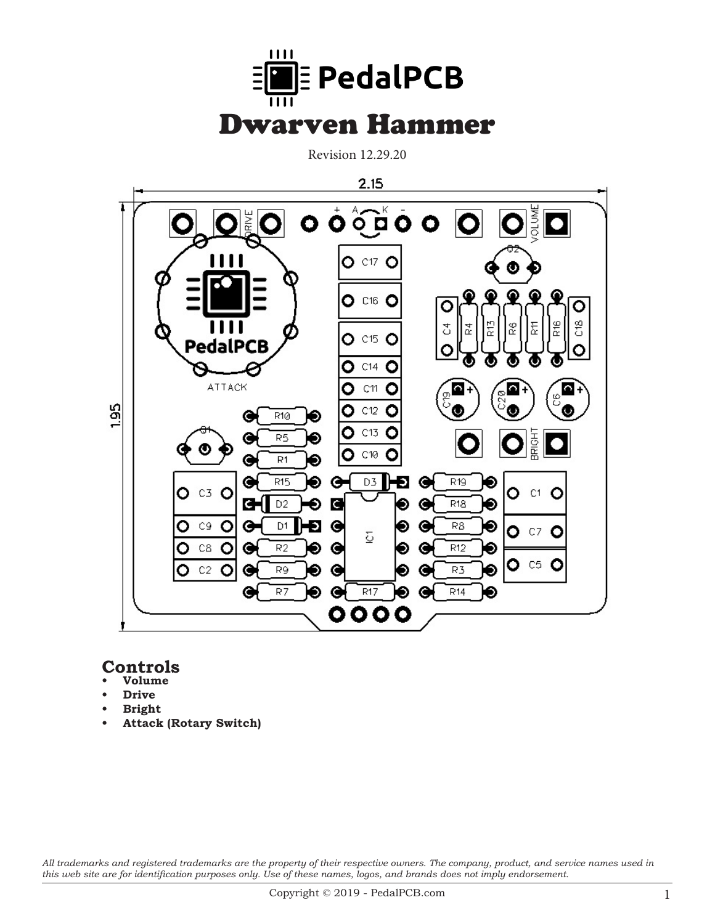

Revision 12.29.20



## **Controls**

- **• Volume**
- **Drive**
- **Bright**
- **• Attack (Rotary Switch)**

*All trademarks and registered trademarks are the property of their respective owners. The company, product, and service names used in this web site are for identification purposes only. Use of these names, logos, and brands does not imply endorsement.*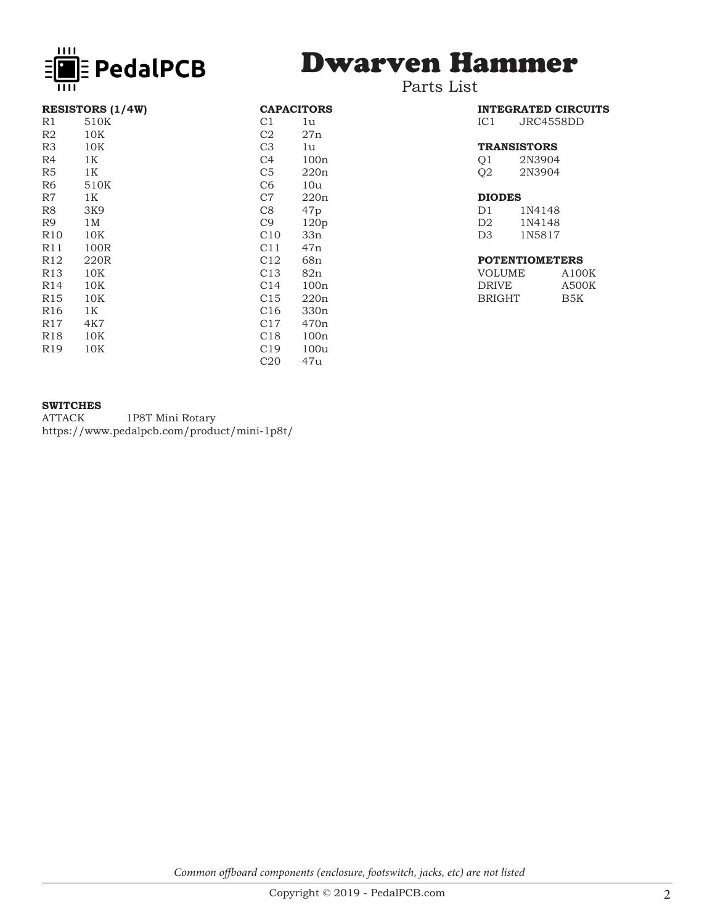

# Dwarven Hammer

### Parts List

| <b>RESISTORS (1/4W)</b> | <b>CAPACITORS</b> |                  |
|-------------------------|-------------------|------------------|
| 510K                    | C <sub>1</sub>    | 1u               |
| 10K                     | C2                | 27n              |
| 10K                     | C <sub>3</sub>    | 1u               |
| 1K                      | C <sub>4</sub>    | 100n             |
| 1K                      | C <sub>5</sub>    | 220n             |
| 510K                    | C <sub>6</sub>    | 10u              |
| 1K                      | C7                | 220n             |
| 3K9                     | C8                | 47p              |
| 1M                      | C <sub>9</sub>    | 120p             |
| 10K                     | C10               | 33n              |
| 100R                    | C <sub>11</sub>   | 47n              |
| 220R                    | C12               | 68n              |
| 10K                     | C13               | 82n              |
| 10K                     | C <sub>14</sub>   | 100n             |
| 10K                     | C <sub>15</sub>   | 220n             |
| 1K                      | C <sub>16</sub>   | 330 <sub>n</sub> |
| 4K7                     | C17               | 470 <sub>n</sub> |
| $10K$                   | C18               | 100n             |
| 10K                     | C19               | 100u             |
|                         | C20               | 47u              |
|                         |                   |                  |

| <b>INTEGRATED CIRCUITS</b> |            |  |
|----------------------------|------------|--|
| IC <sub>1</sub>            | JRC4558DD. |  |
|                            |            |  |
| <b>TRANSISTORS</b>         |            |  |
| O1                         | 2N3904     |  |
| O2                         | 2N3904     |  |
|                            |            |  |
| <b>DIODES</b>              |            |  |
| m 1                        |            |  |

#### D1 1N4148<br>D2 1N4148 D2 1N4148<br>D3 1N5817 1N5817

### **POTENTIOMETERS**

| VOLUME | A100K |
|--------|-------|
| DRIVE  | A500K |
| BRIGHT | B5K   |

### **SWITCHES**

ATTACK 1P8T Mini Rotary https://www.pedalpcb.com/product/mini-1p8t/

*Common offboard components (enclosure, footswitch, jacks, etc) are not listed*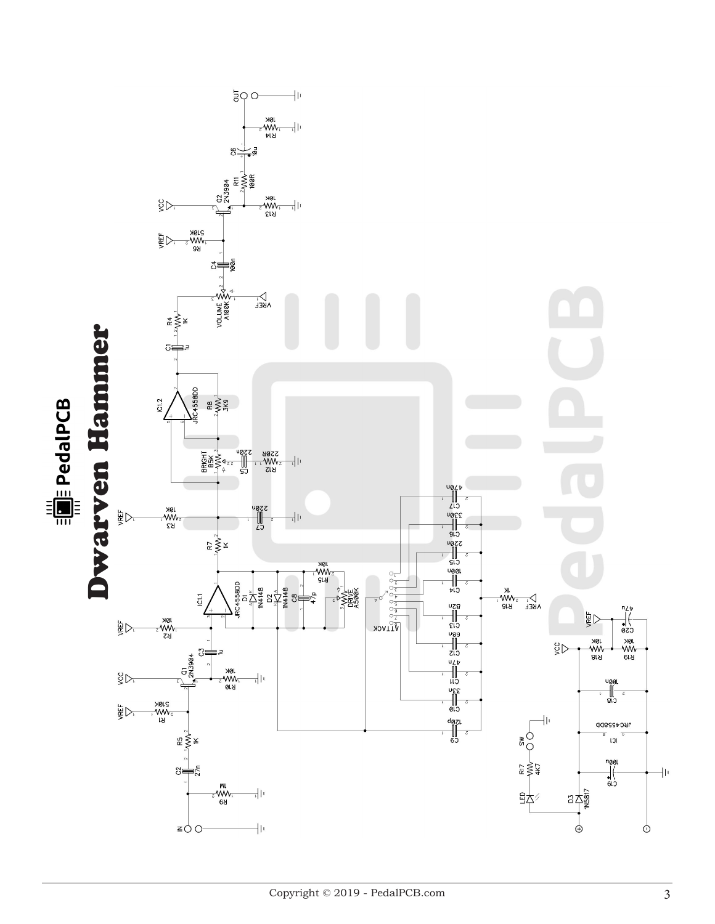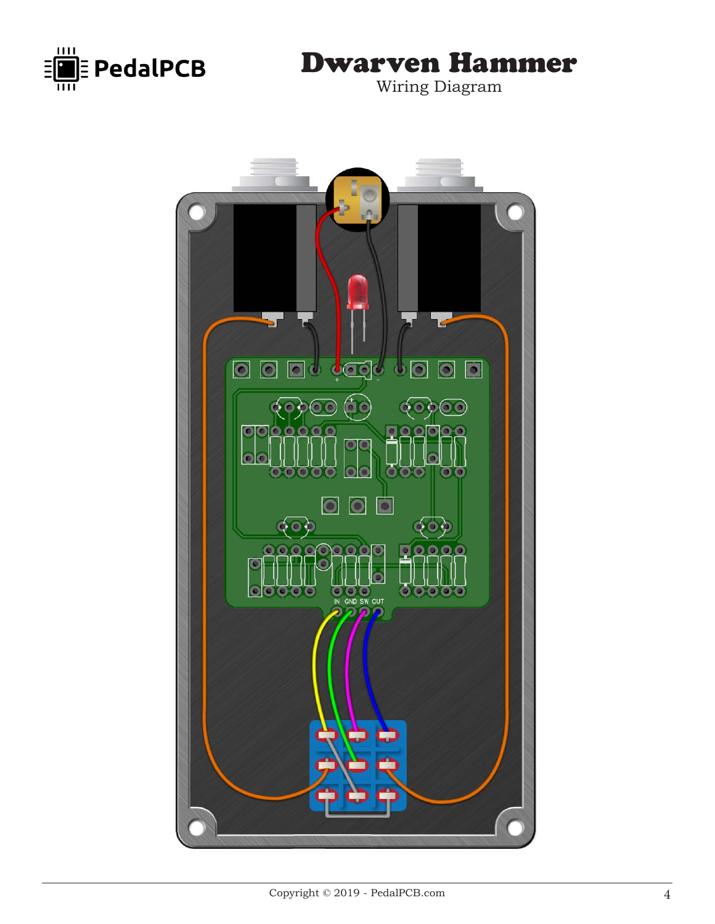

# Dwarven Hammer

Wiring Diagram